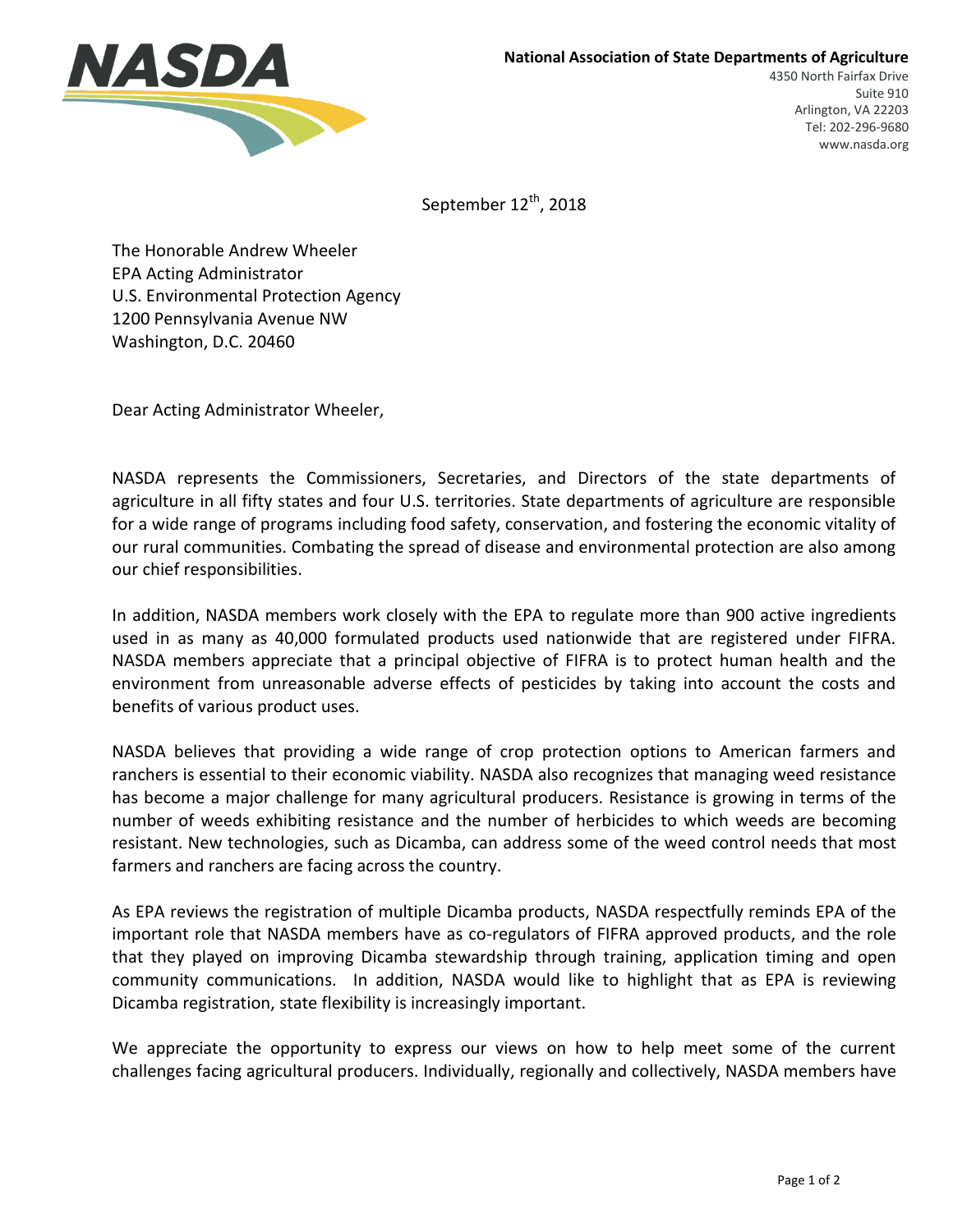

September 12<sup>th</sup>, 2018

The Honorable Andrew Wheeler EPA Acting Administrator U.S. Environmental Protection Agency 1200 Pennsylvania Avenue NW Washington, D.C. 20460

Dear Acting Administrator Wheeler,

NASDA represents the Commissioners, Secretaries, and Directors of the state departments of agriculture in all fifty states and four U.S. territories. State departments of agriculture are responsible for a wide range of programs including food safety, conservation, and fostering the economic vitality of our rural communities. Combating the spread of disease and environmental protection are also among our chief responsibilities.

In addition, NASDA members work closely with the EPA to regulate more than 900 active ingredients used in as many as 40,000 formulated products used nationwide that are registered under FIFRA. NASDA members appreciate that a principal objective of FIFRA is to protect human health and the environment from unreasonable adverse effects of pesticides by taking into account the costs and benefits of various product uses.

NASDA believes that providing a wide range of crop protection options to American farmers and ranchers is essential to their economic viability. NASDA also recognizes that managing weed resistance has become a major challenge for many agricultural producers. Resistance is growing in terms of the number of weeds exhibiting resistance and the number of herbicides to which weeds are becoming resistant. New technologies, such as Dicamba, can address some of the weed control needs that most farmers and ranchers are facing across the country.

As EPA reviews the registration of multiple Dicamba products, NASDA respectfully reminds EPA of the important role that NASDA members have as co-regulators of FIFRA approved products, and the role that they played on improving Dicamba stewardship through training, application timing and open community communications. In addition, NASDA would like to highlight that as EPA is reviewing Dicamba registration, state flexibility is increasingly important.

We appreciate the opportunity to express our views on how to help meet some of the current challenges facing agricultural producers. Individually, regionally and collectively, NASDA members have